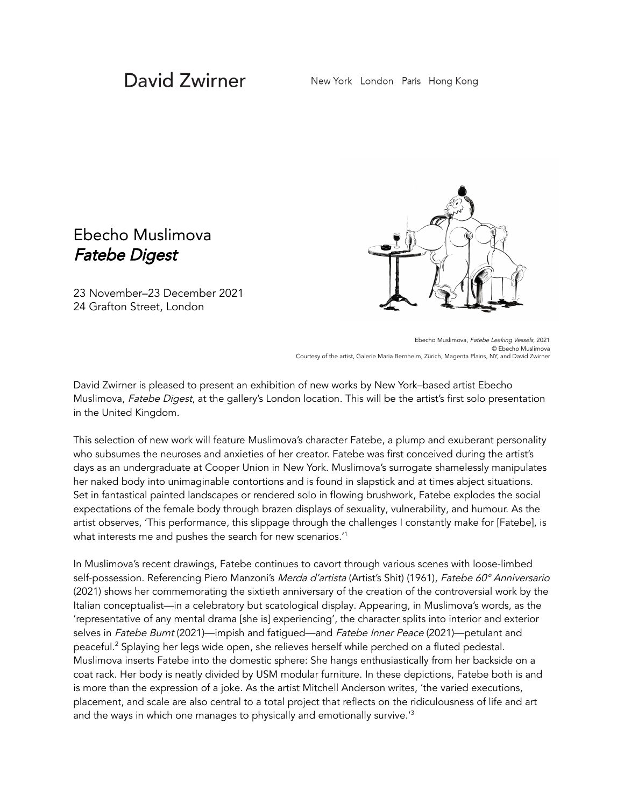## David Zwirner

## Ebecho Muslimova Fatebe Digest

23 November–23 December 2021 24 Grafton Street, London



Ebecho Muslimova, Fatebe Leaking Vessels, 2021 © Ebecho Muslimova Courtesy of the artist, Galerie Maria Bernheim, Zürich, Magenta Plains, NY, and David Zwirner

David Zwirner is pleased to present an exhibition of new works by New York–based artist Ebecho Muslimova, Fatebe Digest, at the gallery's London location. This will be the artist's first solo presentation in the United Kingdom.

This selection of new work will feature Muslimova's character Fatebe, a plump and exuberant personality who subsumes the neuroses and anxieties of her creator. Fatebe was first conceived during the artist's days as an undergraduate at Cooper Union in New York. Muslimova's surrogate shamelessly manipulates her naked body into unimaginable contortions and is found in slapstick and at times abject situations. Set in fantastical painted landscapes or rendered solo in flowing brushwork, Fatebe explodes the social expectations of the female body through brazen displays of sexuality, vulnerability, and humour. As the artist observes, 'This performance, this slippage through the challenges I constantly make for [Fatebe], is what interests me and pushes the search for new scenarios. $^\prime{}^\prime$ 

In Muslimova's recent drawings, Fatebe continues to cavort through various scenes with loose-limbed self-possession. Referencing Piero Manzoni's Merda d'artista (Artist's Shit) (1961), Fatebe 60° Anniversario (2021) shows her commemorating the sixtieth anniversary of the creation of the controversial work by the Italian conceptualist—in a celebratory but scatological display. Appearing, in Muslimova's words, as the 'representative of any mental drama [she is] experiencing', the character splits into interior and exterior selves in Fatebe Burnt (2021)—impish and fatigued—and Fatebe Inner Peace (2021)—petulant and peaceful. <sup>2</sup> Splaying her legs wide open, she relieves herself while perched on a fluted pedestal. Muslimova inserts Fatebe into the domestic sphere: She hangs enthusiastically from her backside on a coat rack. Her body is neatly divided by USM modular furniture. In these depictions, Fatebe both is and is more than the expression of a joke. As the artist Mitchell Anderson writes, 'the varied executions, placement, and scale are also central to a total project that reflects on the ridiculousness of life and art and the ways in which one manages to physically and emotionally survive.'<sup>3</sup>